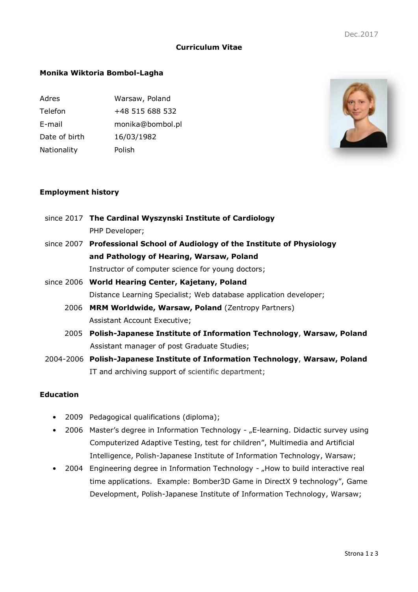# **Curriculum Vitae**

# **Monika Wiktoria Bombol-Lagha**

| Adres         | Warsaw, Poland   |
|---------------|------------------|
| Telefon       | +48 515 688 532  |
| E-mail        | monika@bombol.pl |
| Date of birth | 16/03/1982       |
| Nationality   | Polish           |
|               |                  |



## **Employment history**

- since 2017 **The Cardinal Wyszynski Institute of Cardiology** PHP Developer; since 2007 **Professional School of Audiology of the Institute of Physiology and Pathology of Hearing, Warsaw, Poland** Instructor of computer science for young doctors; since 2006 **World Hearing Center, Kajetany, Poland** Distance Learning Specialist; Web database application developer; 2006 **MRM Worldwide, Warsaw, Poland** (Zentropy Partners) Assistant Account Executive; 2005 **Polish-Japanese Institute of Information Technology**, **Warsaw, Poland** Assistant manager of post Graduate Studies;
- 2004-2006 **Polish-Japanese Institute of Information Technology**, **Warsaw, Poland** IT and archiving support of scientific department;

# **Education**

- 2009 Pedagogical qualifications (diploma);
- 2006 Master's degree in Information Technology "E-learning. Didactic survey using Computerized Adaptive Testing, test for children", Multimedia and Artificial Intelligence, Polish-Japanese Institute of Information Technology, Warsaw;
- 2004 Engineering degree in Information Technology "How to build interactive real time applications. Example: Bomber3D Game in DirectX 9 technology", Game Development, Polish-Japanese Institute of Information Technology, Warsaw;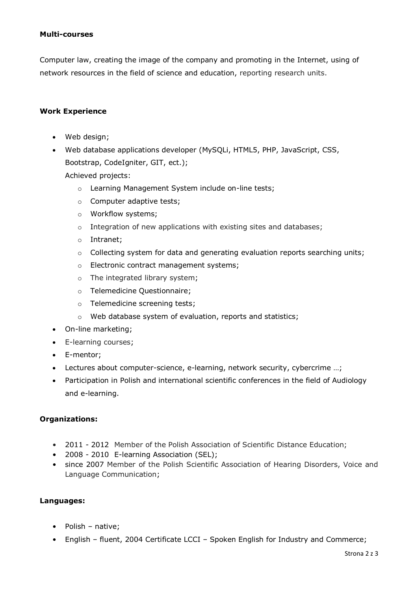#### **Multi-courses**

Computer law, creating the image of the company and promoting in the Internet, using of network resources in the field of science and education, reporting research units.

## **Work Experience**

- Web design;
- Web database applications developer (MySQLi, HTML5, PHP, JavaScript, CSS, Bootstrap, CodeIgniter, GIT, ect.);

Achieved projects:

- o Learning Management System include on-line tests;
- o Computer adaptive tests;
- o Workflow systems;
- o Integration of new applications with existing sites and databases;
- o Intranet;
- $\circ$  Collecting system for data and generating evaluation reports searching units;
- o Electronic contract management systems;
- o The integrated library system;
- o Telemedicine Questionnaire;
- o Telemedicine screening tests;
- o Web database system of evaluation, reports and statistics;
- On-line marketing;
- E-learning courses;
- E-mentor;
- Lectures about computer-science, e-learning, network security, cybercrime …;
- Participation in Polish and international scientific conferences in the field of Audiology and e-learning.

#### **Organizations:**

- 2011 2012 Member of the Polish Association of Scientific Distance Education;
- 2008 2010 E-learning Association (SEL);
- since 2007 Member of the Polish Scientific Association of Hearing Disorders, Voice and Language Communication;

#### **Languages:**

- Polish native;
- English fluent, 2004 Certificate LCCI Spoken English for Industry and Commerce;